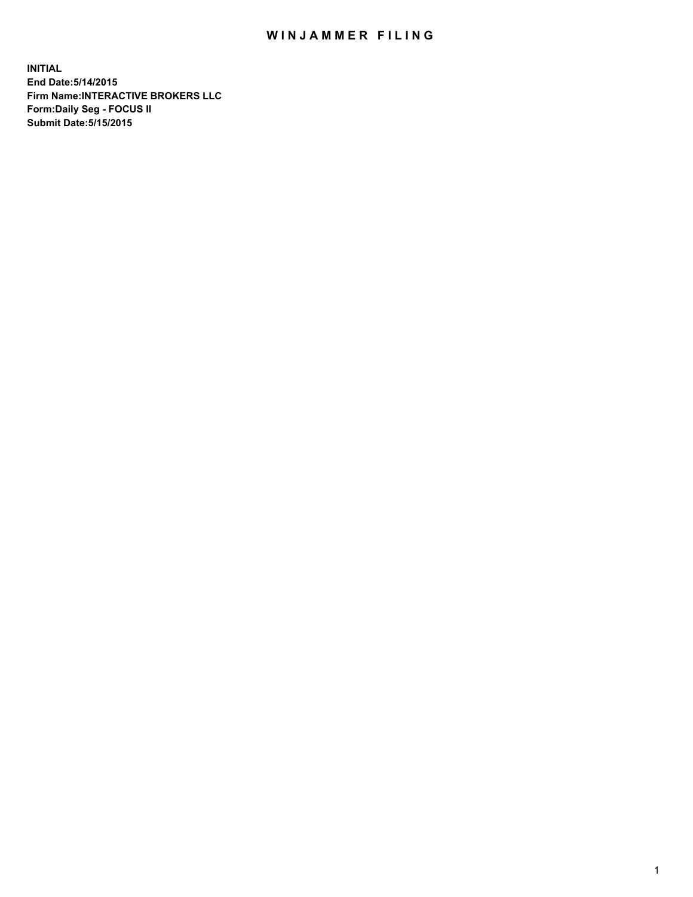## WIN JAMMER FILING

**INITIAL End Date:5/14/2015 Firm Name:INTERACTIVE BROKERS LLC Form:Daily Seg - FOCUS II Submit Date:5/15/2015**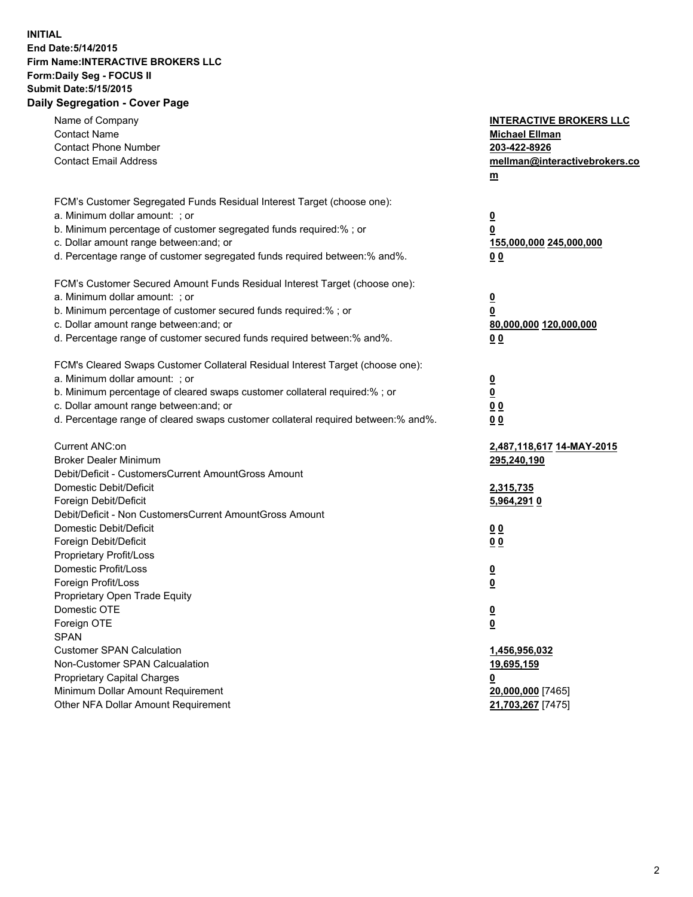## **INITIAL End Date:5/14/2015 Firm Name:INTERACTIVE BROKERS LLC Form:Daily Seg - FOCUS II Submit Date:5/15/2015 Daily Segregation - Cover Page**

| Name of Company<br><b>Contact Name</b><br><b>Contact Phone Number</b><br><b>Contact Email Address</b> | <b>INTERACTIVE BROKERS LLC</b><br><b>Michael Ellman</b><br>203-422-8926<br>mellman@interactivebrokers.co<br>$m$ |
|-------------------------------------------------------------------------------------------------------|-----------------------------------------------------------------------------------------------------------------|
| FCM's Customer Segregated Funds Residual Interest Target (choose one):                                |                                                                                                                 |
| a. Minimum dollar amount: ; or                                                                        | $\overline{\mathbf{0}}$                                                                                         |
| b. Minimum percentage of customer segregated funds required:% ; or                                    | 0                                                                                                               |
| c. Dollar amount range between: and; or                                                               | 155,000,000 245,000,000                                                                                         |
| d. Percentage range of customer segregated funds required between:% and%.                             | 0 <sub>0</sub>                                                                                                  |
| FCM's Customer Secured Amount Funds Residual Interest Target (choose one):                            |                                                                                                                 |
| a. Minimum dollar amount: ; or                                                                        | $\overline{\mathbf{0}}$                                                                                         |
| b. Minimum percentage of customer secured funds required:% ; or                                       | 0                                                                                                               |
| c. Dollar amount range between: and; or                                                               | 80,000,000 120,000,000                                                                                          |
| d. Percentage range of customer secured funds required between:% and%.                                | 0 <sub>0</sub>                                                                                                  |
|                                                                                                       |                                                                                                                 |
| FCM's Cleared Swaps Customer Collateral Residual Interest Target (choose one):                        |                                                                                                                 |
| a. Minimum dollar amount: ; or                                                                        | $\overline{\mathbf{0}}$                                                                                         |
| b. Minimum percentage of cleared swaps customer collateral required:% ; or                            | $\overline{\mathbf{0}}$                                                                                         |
| c. Dollar amount range between: and; or                                                               | 0 <sub>0</sub>                                                                                                  |
| d. Percentage range of cleared swaps customer collateral required between:% and%.                     | 0 <sub>0</sub>                                                                                                  |
| Current ANC:on                                                                                        | <u>2,487,118,617 14-MAY-2015</u>                                                                                |
| <b>Broker Dealer Minimum</b>                                                                          | 295,240,190                                                                                                     |
| Debit/Deficit - CustomersCurrent AmountGross Amount                                                   |                                                                                                                 |
| Domestic Debit/Deficit                                                                                | 2,315,735                                                                                                       |
| Foreign Debit/Deficit                                                                                 | 5,964,2910                                                                                                      |
| Debit/Deficit - Non CustomersCurrent AmountGross Amount                                               |                                                                                                                 |
| Domestic Debit/Deficit                                                                                | 0 <sub>0</sub>                                                                                                  |
| Foreign Debit/Deficit                                                                                 | 0 <sub>0</sub>                                                                                                  |
| Proprietary Profit/Loss                                                                               |                                                                                                                 |
| Domestic Profit/Loss                                                                                  | $\overline{\mathbf{0}}$                                                                                         |
| Foreign Profit/Loss                                                                                   | $\underline{\mathbf{0}}$                                                                                        |
| Proprietary Open Trade Equity                                                                         |                                                                                                                 |
| Domestic OTE                                                                                          | <u>0</u>                                                                                                        |
| Foreign OTE                                                                                           | <u>0</u>                                                                                                        |
| <b>SPAN</b>                                                                                           |                                                                                                                 |
| <b>Customer SPAN Calculation</b>                                                                      | 1,456,956,032                                                                                                   |
| Non-Customer SPAN Calcualation                                                                        | <u>19,695,159</u>                                                                                               |
| Proprietary Capital Charges                                                                           | <u>0</u>                                                                                                        |
| Minimum Dollar Amount Requirement<br>Other NFA Dollar Amount Requirement                              | 20,000,000 [7465]                                                                                               |
|                                                                                                       | 21,703,267 [7475]                                                                                               |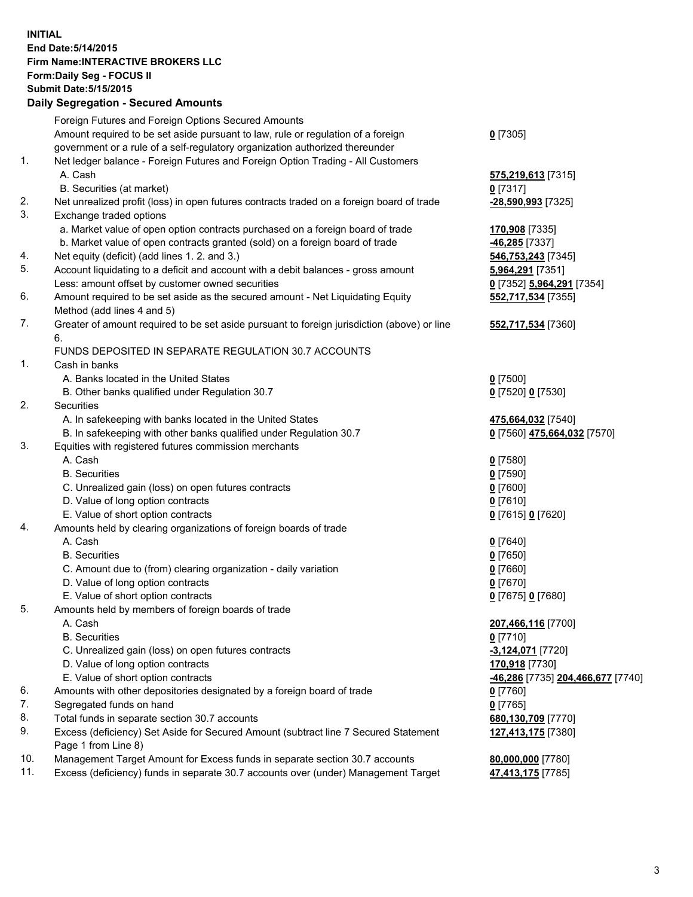## **INITIAL End Date:5/14/2015 Firm Name:INTERACTIVE BROKERS LLC Form:Daily Seg - FOCUS II Submit Date:5/15/2015 Daily Segregation - Secured Amounts**

|     | Dany Ocgregation - Oceanea Annoanta                                                         |                                   |
|-----|---------------------------------------------------------------------------------------------|-----------------------------------|
|     | Foreign Futures and Foreign Options Secured Amounts                                         |                                   |
|     | Amount required to be set aside pursuant to law, rule or regulation of a foreign            | $0$ [7305]                        |
|     | government or a rule of a self-regulatory organization authorized thereunder                |                                   |
| 1.  | Net ledger balance - Foreign Futures and Foreign Option Trading - All Customers             |                                   |
|     | A. Cash                                                                                     | 575,219,613 [7315]                |
|     | B. Securities (at market)                                                                   | $0$ [7317]                        |
| 2.  | Net unrealized profit (loss) in open futures contracts traded on a foreign board of trade   | -28,590,993 [7325]                |
| 3.  | Exchange traded options                                                                     |                                   |
|     | a. Market value of open option contracts purchased on a foreign board of trade              | 170,908 [7335]                    |
|     | b. Market value of open contracts granted (sold) on a foreign board of trade                | <u>-46,285</u> [7337]             |
| 4.  | Net equity (deficit) (add lines 1.2. and 3.)                                                | 546,753,243 [7345]                |
| 5.  | Account liquidating to a deficit and account with a debit balances - gross amount           | <u>5,964,291</u> [7351]           |
|     | Less: amount offset by customer owned securities                                            | 0 [7352] 5,964,291 [7354]         |
| 6.  | Amount required to be set aside as the secured amount - Net Liquidating Equity              | 552,717,534 [7355]                |
|     | Method (add lines 4 and 5)                                                                  |                                   |
| 7.  | Greater of amount required to be set aside pursuant to foreign jurisdiction (above) or line | 552,717,534 [7360]                |
|     | 6.                                                                                          |                                   |
|     | FUNDS DEPOSITED IN SEPARATE REGULATION 30.7 ACCOUNTS                                        |                                   |
| 1.  | Cash in banks                                                                               |                                   |
|     | A. Banks located in the United States                                                       | $0$ [7500]                        |
|     | B. Other banks qualified under Regulation 30.7                                              | 0 [7520] 0 [7530]                 |
| 2.  | Securities                                                                                  |                                   |
|     | A. In safekeeping with banks located in the United States                                   | 475,664,032 [7540]                |
|     | B. In safekeeping with other banks qualified under Regulation 30.7                          | 0 [7560] 475,664,032 [7570]       |
| 3.  | Equities with registered futures commission merchants                                       |                                   |
|     | A. Cash                                                                                     | $0$ [7580]                        |
|     | <b>B.</b> Securities                                                                        | $0$ [7590]                        |
|     | C. Unrealized gain (loss) on open futures contracts                                         | $0$ [7600]                        |
|     | D. Value of long option contracts                                                           | $0$ [7610]                        |
|     | E. Value of short option contracts                                                          | 0 [7615] 0 [7620]                 |
| 4.  | Amounts held by clearing organizations of foreign boards of trade                           |                                   |
|     | A. Cash                                                                                     | $0$ [7640]                        |
|     | <b>B.</b> Securities                                                                        | $0$ [7650]                        |
|     | C. Amount due to (from) clearing organization - daily variation                             | $0$ [7660]                        |
|     | D. Value of long option contracts                                                           | $0$ [7670]                        |
|     | E. Value of short option contracts                                                          | 0 [7675] 0 [7680]                 |
| 5.  | Amounts held by members of foreign boards of trade                                          |                                   |
|     | A. Cash                                                                                     | 207,466,116 [7700]                |
|     | <b>B.</b> Securities                                                                        | $0$ [7710]                        |
|     | C. Unrealized gain (loss) on open futures contracts                                         | -3,124,071 [7720]                 |
|     | D. Value of long option contracts                                                           | 170,918 [7730]                    |
|     | E. Value of short option contracts                                                          | -46,286 [7735] 204,466,677 [7740] |
| 6.  | Amounts with other depositories designated by a foreign board of trade                      | $0$ [7760]                        |
| 7.  | Segregated funds on hand                                                                    | $0$ [7765]                        |
| 8.  | Total funds in separate section 30.7 accounts                                               | 680,130,709 [7770]                |
| 9.  | Excess (deficiency) Set Aside for Secured Amount (subtract line 7 Secured Statement         | 127,413,175 [7380]                |
|     | Page 1 from Line 8)                                                                         |                                   |
| 10. | Management Target Amount for Excess funds in separate section 30.7 accounts                 | 80,000,000 [7780]                 |
| 11. | Excess (deficiency) funds in separate 30.7 accounts over (under) Management Target          | 47,413,175 [7785]                 |
|     |                                                                                             |                                   |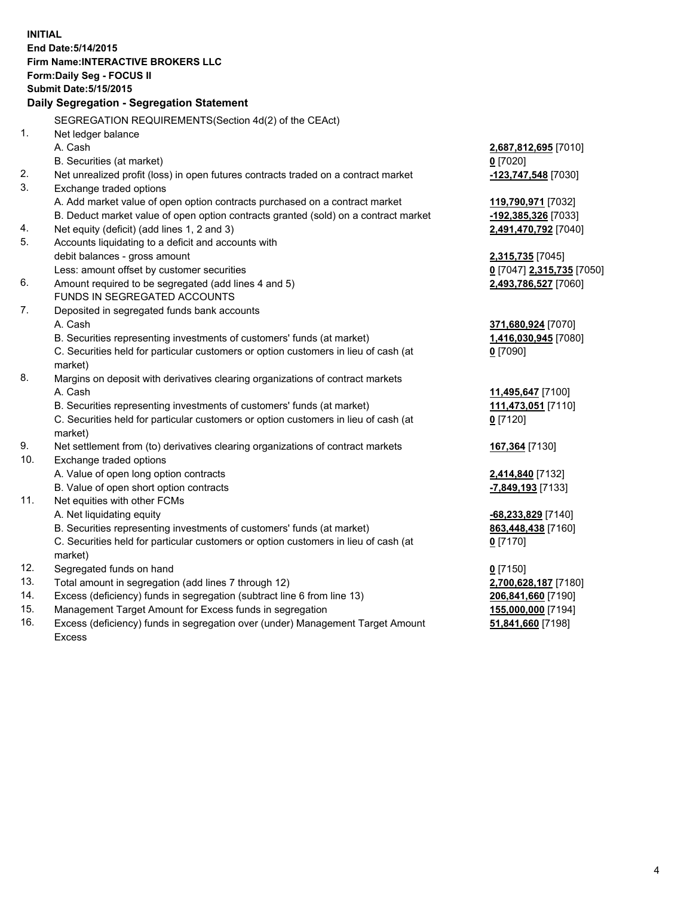**INITIAL End Date:5/14/2015 Firm Name:INTERACTIVE BROKERS LLC Form:Daily Seg - FOCUS II Submit Date:5/15/2015 Daily Segregation - Segregation Statement** SEGREGATION REQUIREMENTS(Section 4d(2) of the CEAct) 1. Net ledger balance A. Cash **2,687,812,695** [7010] B. Securities (at market) **0** [7020] 2. Net unrealized profit (loss) in open futures contracts traded on a contract market **-123,747,548** [7030] 3. Exchange traded options A. Add market value of open option contracts purchased on a contract market **119,790,971** [7032] B. Deduct market value of open option contracts granted (sold) on a contract market **-192,385,326** [7033] 4. Net equity (deficit) (add lines 1, 2 and 3) **2,491,470,792** [7040] 5. Accounts liquidating to a deficit and accounts with debit balances - gross amount **2,315,735** [7045] Less: amount offset by customer securities **0** [7047] **2,315,735** [7050] 6. Amount required to be segregated (add lines 4 and 5) **2,493,786,527** [7060] FUNDS IN SEGREGATED ACCOUNTS 7. Deposited in segregated funds bank accounts A. Cash **371,680,924** [7070] B. Securities representing investments of customers' funds (at market) **1,416,030,945** [7080] C. Securities held for particular customers or option customers in lieu of cash (at market) **0** [7090] 8. Margins on deposit with derivatives clearing organizations of contract markets A. Cash **11,495,647** [7100] B. Securities representing investments of customers' funds (at market) **111,473,051** [7110] C. Securities held for particular customers or option customers in lieu of cash (at market) **0** [7120] 9. Net settlement from (to) derivatives clearing organizations of contract markets **167,364** [7130] 10. Exchange traded options A. Value of open long option contracts **2,414,840** [7132] B. Value of open short option contracts **-7,849,193** [7133] 11. Net equities with other FCMs A. Net liquidating equity **-68,233,829** [7140] B. Securities representing investments of customers' funds (at market) **863,448,438** [7160] C. Securities held for particular customers or option customers in lieu of cash (at market) **0** [7170] 12. Segregated funds on hand **0** [7150] 13. Total amount in segregation (add lines 7 through 12) **2,700,628,187** [7180] 14. Excess (deficiency) funds in segregation (subtract line 6 from line 13) **206,841,660** [7190] 15. Management Target Amount for Excess funds in segregation **155,000,000** [7194]

16. Excess (deficiency) funds in segregation over (under) Management Target Amount Excess

**51,841,660** [7198]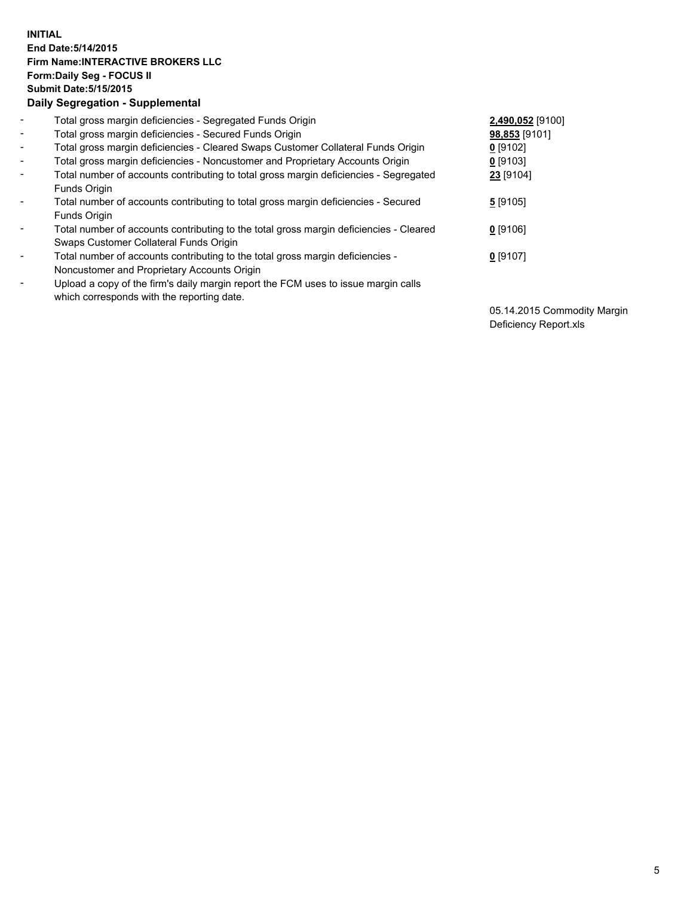## **INITIAL End Date:5/14/2015 Firm Name:INTERACTIVE BROKERS LLC Form:Daily Seg - FOCUS II Submit Date:5/15/2015 Daily Segregation - Supplemental**

| $\blacksquare$           | Total gross margin deficiencies - Segregated Funds Origin                                                                        | 2,490,052 [9100] |
|--------------------------|----------------------------------------------------------------------------------------------------------------------------------|------------------|
| $\blacksquare$           | Total gross margin deficiencies - Secured Funds Origin                                                                           | 98,853 [9101]    |
| $\blacksquare$           | Total gross margin deficiencies - Cleared Swaps Customer Collateral Funds Origin                                                 | $0$ [9102]       |
| $\blacksquare$           | Total gross margin deficiencies - Noncustomer and Proprietary Accounts Origin                                                    | $0$ [9103]       |
| $\blacksquare$           | Total number of accounts contributing to total gross margin deficiencies - Segregated<br>Funds Origin                            | 23 [9104]        |
| $\blacksquare$           | Total number of accounts contributing to total gross margin deficiencies - Secured<br>Funds Origin                               | $5$ [9105]       |
| $\blacksquare$           | Total number of accounts contributing to the total gross margin deficiencies - Cleared<br>Swaps Customer Collateral Funds Origin | $0$ [9106]       |
| $\overline{\phantom{a}}$ | Total number of accounts contributing to the total gross margin deficiencies -<br>Noncustomer and Proprietary Accounts Origin    | $0$ [9107]       |
|                          | Upload a copy of the firm's daily margin report the FCM uses to issue margin calls<br>which corresponds with the reporting date. |                  |

05.14.2015 Commodity Margin Deficiency Report.xls